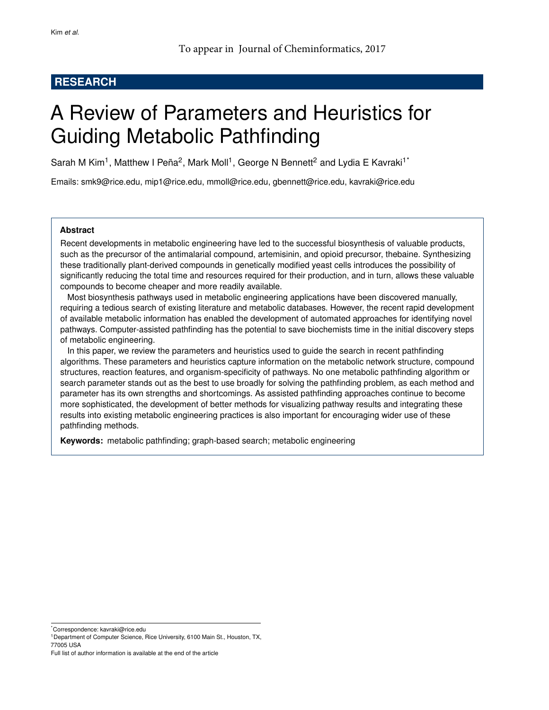## **RESEARCH**

# A Review of Parameters and Heuristics for Guiding Metabolic Pathfinding

Sarah M Kim<sup>1</sup>, Matthew I Peña<sup>2</sup>, Mark Moll<sup>1</sup>, George N Bennett<sup>2</sup> and Lydia E Kavraki<sup>1\*</sup>

Emails: smk9@rice.edu, mip1@rice.edu, mmoll@rice.edu, gbennett@rice.edu, kavraki@rice.edu

## **Abstract**

Recent developments in metabolic engineering have led to the successful biosynthesis of valuable products, such as the precursor of the antimalarial compound, artemisinin, and opioid precursor, thebaine. Synthesizing these traditionally plant-derived compounds in genetically modified yeast cells introduces the possibility of significantly reducing the total time and resources required for their production, and in turn, allows these valuable compounds to become cheaper and more readily available.

Most biosynthesis pathways used in metabolic engineering applications have been discovered manually, requiring a tedious search of existing literature and metabolic databases. However, the recent rapid development of available metabolic information has enabled the development of automated approaches for identifying novel pathways. Computer-assisted pathfinding has the potential to save biochemists time in the initial discovery steps of metabolic engineering.

In this paper, we review the parameters and heuristics used to guide the search in recent pathfinding algorithms. These parameters and heuristics capture information on the metabolic network structure, compound structures, reaction features, and organism-specificity of pathways. No one metabolic pathfinding algorithm or search parameter stands out as the best to use broadly for solving the pathfinding problem, as each method and parameter has its own strengths and shortcomings. As assisted pathfinding approaches continue to become more sophisticated, the development of better methods for visualizing pathway results and integrating these results into existing metabolic engineering practices is also important for encouraging wider use of these pathfinding methods.

**Keywords:** metabolic pathfinding; graph-based search; metabolic engineering

\*Correspondence: kavraki@rice.edu

<sup>&</sup>lt;sup>1</sup> Department of Computer Science, Rice University, 6100 Main St., Houston, TX, 77005 USA

Full list of author information is available at the end of the article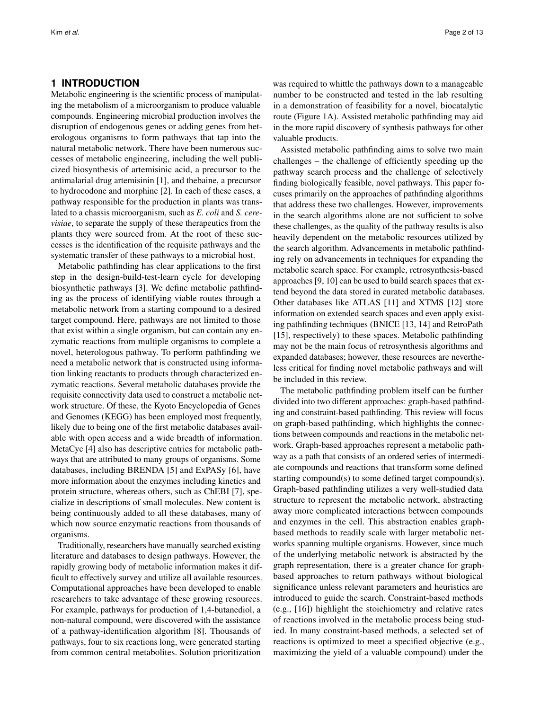## **1 INTRODUCTION**

Metabolic engineering is the scientific process of manipulating the metabolism of a microorganism to produce valuable compounds. Engineering microbial production involves the disruption of endogenous genes or adding genes from heterologous organisms to form pathways that tap into the natural metabolic network. There have been numerous successes of metabolic engineering, including the well publicized biosynthesis of artemisinic acid, a precursor to the antimalarial drug artemisinin [1], and thebaine, a precursor to hydrocodone and morphine [2]. In each of these cases, a pathway responsible for the production in plants was translated to a chassis microorganism, such as *E. coli* and *S. cerevisiae*, to separate the supply of these therapeutics from the plants they were sourced from. At the root of these successes is the identification of the requisite pathways and the systematic transfer of these pathways to a microbial host.

Metabolic pathfinding has clear applications to the first step in the design-build-test-learn cycle for developing biosynthetic pathways [3]. We define metabolic pathfinding as the process of identifying viable routes through a metabolic network from a starting compound to a desired target compound. Here, pathways are not limited to those that exist within a single organism, but can contain any enzymatic reactions from multiple organisms to complete a novel, heterologous pathway. To perform pathfinding we need a metabolic network that is constructed using information linking reactants to products through characterized enzymatic reactions. Several metabolic databases provide the requisite connectivity data used to construct a metabolic network structure. Of these, the Kyoto Encyclopedia of Genes and Genomes (KEGG) has been employed most frequently, likely due to being one of the first metabolic databases available with open access and a wide breadth of information. MetaCyc [4] also has descriptive entries for metabolic pathways that are attributed to many groups of organisms. Some databases, including BRENDA [5] and ExPASy [6], have more information about the enzymes including kinetics and protein structure, whereas others, such as ChEBI [7], specialize in descriptions of small molecules. New content is being continuously added to all these databases, many of which now source enzymatic reactions from thousands of organisms.

Traditionally, researchers have manually searched existing literature and databases to design pathways. However, the rapidly growing body of metabolic information makes it difficult to effectively survey and utilize all available resources. Computational approaches have been developed to enable researchers to take advantage of these growing resources. For example, pathways for production of 1,4-butanediol, a non-natural compound, were discovered with the assistance of a pathway-identification algorithm [8]. Thousands of pathways, four to six reactions long, were generated starting from common central metabolites. Solution prioritization

was required to whittle the pathways down to a manageable number to be constructed and tested in the lab resulting in a demonstration of feasibility for a novel, biocatalytic route (Figure 1A). Assisted metabolic pathfinding may aid in the more rapid discovery of synthesis pathways for other valuable products.

Assisted metabolic pathfinding aims to solve two main challenges – the challenge of efficiently speeding up the pathway search process and the challenge of selectively finding biologically feasible, novel pathways. This paper focuses primarily on the approaches of pathfinding algorithms that address these two challenges. However, improvements in the search algorithms alone are not sufficient to solve these challenges, as the quality of the pathway results is also heavily dependent on the metabolic resources utilized by the search algorithm. Advancements in metabolic pathfinding rely on advancements in techniques for expanding the metabolic search space. For example, retrosynthesis-based approaches [9, 10] can be used to build search spaces that extend beyond the data stored in curated metabolic databases. Other databases like ATLAS [11] and XTMS [12] store information on extended search spaces and even apply existing pathfinding techniques (BNICE [13, 14] and RetroPath [15], respectively) to these spaces. Metabolic pathfinding may not be the main focus of retrosynthesis algorithms and expanded databases; however, these resources are nevertheless critical for finding novel metabolic pathways and will be included in this review.

The metabolic pathfinding problem itself can be further divided into two different approaches: graph-based pathfinding and constraint-based pathfinding. This review will focus on graph-based pathfinding, which highlights the connections between compounds and reactions in the metabolic network. Graph-based approaches represent a metabolic pathway as a path that consists of an ordered series of intermediate compounds and reactions that transform some defined starting compound(s) to some defined target compound(s). Graph-based pathfinding utilizes a very well-studied data structure to represent the metabolic network, abstracting away more complicated interactions between compounds and enzymes in the cell. This abstraction enables graphbased methods to readily scale with larger metabolic networks spanning multiple organisms. However, since much of the underlying metabolic network is abstracted by the graph representation, there is a greater chance for graphbased approaches to return pathways without biological significance unless relevant parameters and heuristics are introduced to guide the search. Constraint-based methods (e.g., [16]) highlight the stoichiometry and relative rates of reactions involved in the metabolic process being studied. In many constraint-based methods, a selected set of reactions is optimized to meet a specified objective (e.g., maximizing the yield of a valuable compound) under the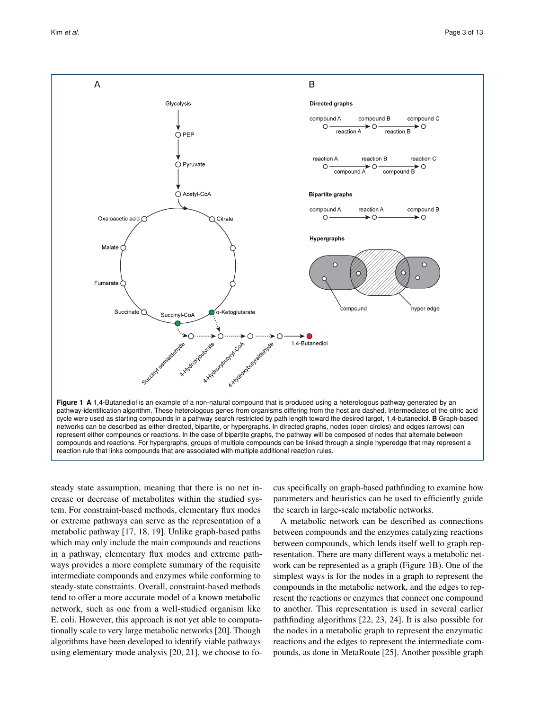

steady state assumption, meaning that there is no net increase or decrease of metabolites within the studied system. For constraint-based methods, elementary flux modes or extreme pathways can serve as the representation of a metabolic pathway [17, 18, 19]. Unlike graph-based paths which may only include the main compounds and reactions in a pathway, elementary flux modes and extreme pathways provides a more complete summary of the requisite intermediate compounds and enzymes while conforming to steady-state constraints. Overall, constraint-based methods tend to offer a more accurate model of a known metabolic network, such as one from a well-studied organism like E. coli. However, this approach is not yet able to computationally scale to very large metabolic networks [20]. Though algorithms have been developed to identify viable pathways using elementary mode analysis [20, 21], we choose to focus specifically on graph-based pathfinding to examine how parameters and heuristics can be used to efficiently guide the search in large-scale metabolic networks.

A metabolic network can be described as connections between compounds and the enzymes catalyzing reactions between compounds, which lends itself well to graph representation. There are many different ways a metabolic network can be represented as a graph (Figure 1B). One of the simplest ways is for the nodes in a graph to represent the compounds in the metabolic network, and the edges to represent the reactions or enzymes that connect one compound to another. This representation is used in several earlier pathfinding algorithms [22, 23, 24]. It is also possible for the nodes in a metabolic graph to represent the enzymatic reactions and the edges to represent the intermediate compounds, as done in MetaRoute [25]. Another possible graph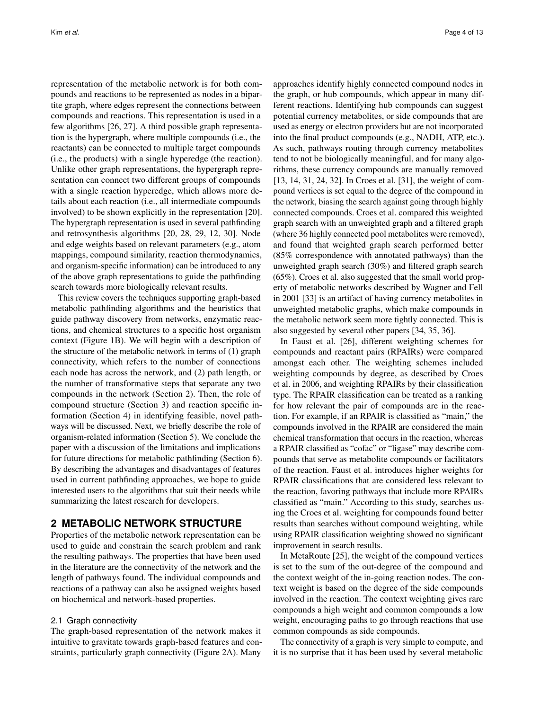representation of the metabolic network is for both compounds and reactions to be represented as nodes in a bipartite graph, where edges represent the connections between compounds and reactions. This representation is used in a few algorithms [26, 27]. A third possible graph representation is the hypergraph, where multiple compounds (i.e., the reactants) can be connected to multiple target compounds (i.e., the products) with a single hyperedge (the reaction). Unlike other graph representations, the hypergraph representation can connect two different groups of compounds with a single reaction hyperedge, which allows more details about each reaction (i.e., all intermediate compounds involved) to be shown explicitly in the representation [20]. The hypergraph representation is used in several pathfinding and retrosynthesis algorithms [20, 28, 29, 12, 30]. Node and edge weights based on relevant parameters (e.g., atom mappings, compound similarity, reaction thermodynamics, and organism-specific information) can be introduced to any of the above graph representations to guide the pathfinding search towards more biologically relevant results.

This review covers the techniques supporting graph-based metabolic pathfinding algorithms and the heuristics that guide pathway discovery from networks, enzymatic reactions, and chemical structures to a specific host organism context (Figure 1B). We will begin with a description of the structure of the metabolic network in terms of (1) graph connectivity, which refers to the number of connections each node has across the network, and (2) path length, or the number of transformative steps that separate any two compounds in the network (Section 2). Then, the role of compound structure (Section 3) and reaction specific information (Section 4) in identifying feasible, novel pathways will be discussed. Next, we briefly describe the role of organism-related information (Section 5). We conclude the paper with a discussion of the limitations and implications for future directions for metabolic pathfinding (Section 6). By describing the advantages and disadvantages of features used in current pathfinding approaches, we hope to guide interested users to the algorithms that suit their needs while summarizing the latest research for developers.

## **2 METABOLIC NETWORK STRUCTURE**

Properties of the metabolic network representation can be used to guide and constrain the search problem and rank the resulting pathways. The properties that have been used in the literature are the connectivity of the network and the length of pathways found. The individual compounds and reactions of a pathway can also be assigned weights based on biochemical and network-based properties.

#### 2.1 Graph connectivity

The graph-based representation of the network makes it intuitive to gravitate towards graph-based features and constraints, particularly graph connectivity (Figure 2A). Many

approaches identify highly connected compound nodes in the graph, or hub compounds, which appear in many different reactions. Identifying hub compounds can suggest potential currency metabolites, or side compounds that are used as energy or electron providers but are not incorporated into the final product compounds (e.g., NADH, ATP, etc.). As such, pathways routing through currency metabolites tend to not be biologically meaningful, and for many algorithms, these currency compounds are manually removed [13, 14, 31, 24, 32]. In Croes et al. [31], the weight of compound vertices is set equal to the degree of the compound in the network, biasing the search against going through highly connected compounds. Croes et al. compared this weighted graph search with an unweighted graph and a filtered graph (where 36 highly connected pool metabolites were removed), and found that weighted graph search performed better (85% correspondence with annotated pathways) than the unweighted graph search (30%) and filtered graph search (65%). Croes et al. also suggested that the small world property of metabolic networks described by Wagner and Fell in 2001 [33] is an artifact of having currency metabolites in unweighted metabolic graphs, which make compounds in the metabolic network seem more tightly connected. This is also suggested by several other papers [34, 35, 36].

In Faust et al. [26], different weighting schemes for compounds and reactant pairs (RPAIRs) were compared amongst each other. The weighting schemes included weighting compounds by degree, as described by Croes et al. in 2006, and weighting RPAIRs by their classification type. The RPAIR classification can be treated as a ranking for how relevant the pair of compounds are in the reaction. For example, if an RPAIR is classified as "main," the compounds involved in the RPAIR are considered the main chemical transformation that occurs in the reaction, whereas a RPAIR classified as "cofac" or "ligase" may describe compounds that serve as metabolite compounds or facilitators of the reaction. Faust et al. introduces higher weights for RPAIR classifications that are considered less relevant to the reaction, favoring pathways that include more RPAIRs classified as "main." According to this study, searches using the Croes et al. weighting for compounds found better results than searches without compound weighting, while using RPAIR classification weighting showed no significant improvement in search results.

In MetaRoute [25], the weight of the compound vertices is set to the sum of the out-degree of the compound and the context weight of the in-going reaction nodes. The context weight is based on the degree of the side compounds involved in the reaction. The context weighting gives rare compounds a high weight and common compounds a low weight, encouraging paths to go through reactions that use common compounds as side compounds.

The connectivity of a graph is very simple to compute, and it is no surprise that it has been used by several metabolic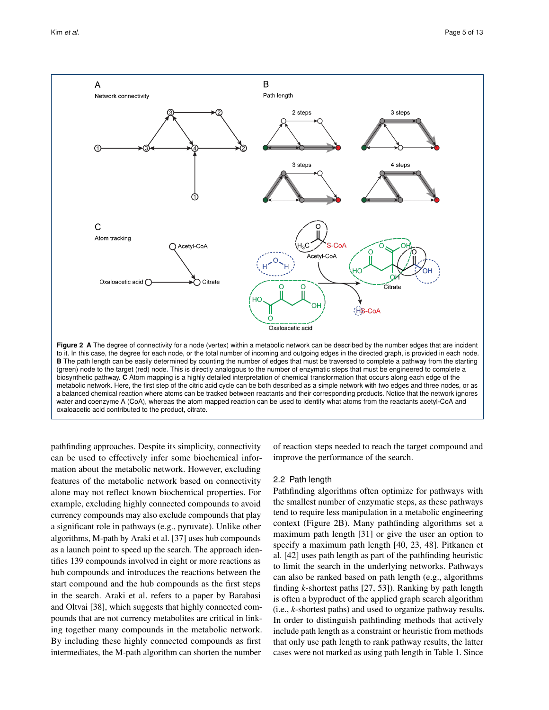

a balanced chemical reaction where atoms can be tracked between reactants and their corresponding products. Notice that the network ignores water and coenzyme A (CoA), whereas the atom mapped reaction can be used to identify what atoms from the reactants acetyl-CoA and oxaloacetic acid contributed to the product, citrate.

pathfinding approaches. Despite its simplicity, connectivity can be used to effectively infer some biochemical information about the metabolic network. However, excluding features of the metabolic network based on connectivity alone may not reflect known biochemical properties. For example, excluding highly connected compounds to avoid currency compounds may also exclude compounds that play a significant role in pathways (e.g., pyruvate). Unlike other algorithms, M-path by Araki et al. [37] uses hub compounds as a launch point to speed up the search. The approach identifies 139 compounds involved in eight or more reactions as hub compounds and introduces the reactions between the start compound and the hub compounds as the first steps in the search. Araki et al. refers to a paper by Barabasi and Oltvai [38], which suggests that highly connected compounds that are not currency metabolites are critical in linking together many compounds in the metabolic network. By including these highly connected compounds as first intermediates, the M-path algorithm can shorten the number

of reaction steps needed to reach the target compound and improve the performance of the search.

#### 2.2 Path length

Pathfinding algorithms often optimize for pathways with the smallest number of enzymatic steps, as these pathways tend to require less manipulation in a metabolic engineering context (Figure 2B). Many pathfinding algorithms set a maximum path length [31] or give the user an option to specify a maximum path length [40, 23, 48]. Pitkanen et al. [42] uses path length as part of the pathfinding heuristic to limit the search in the underlying networks. Pathways can also be ranked based on path length (e.g., algorithms finding *k*-shortest paths [27, 53]). Ranking by path length is often a byproduct of the applied graph search algorithm (i.e., *k*-shortest paths) and used to organize pathway results. In order to distinguish pathfinding methods that actively include path length as a constraint or heuristic from methods that only use path length to rank pathway results, the latter cases were not marked as using path length in Table 1. Since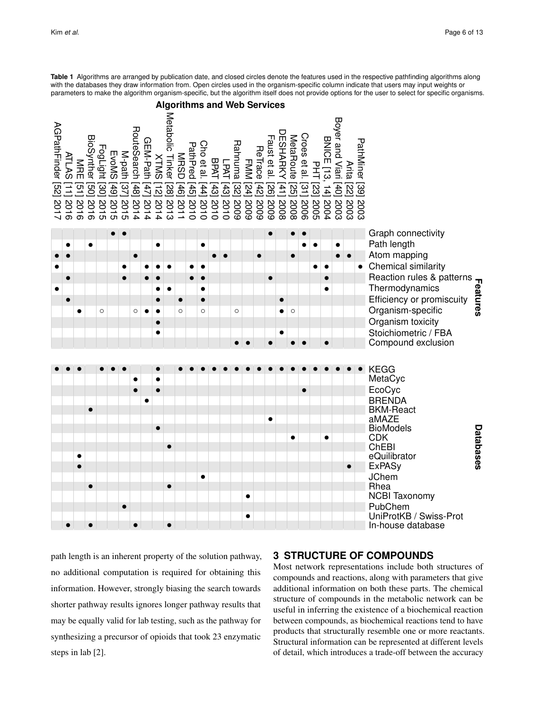**Table 1** Algorithms are arranged by publication date, and closed circles denote the features used in the respective pathfinding algorithms along with the databases they draw information from. Open circles used in the organism-specific column indicate that users may input weights or parameters to make the algorithm organism-specific, but the algorithm itself does not provide options for the user to select for specific organisms.



path length is an inherent property of the solution pathway, no additional computation is required for obtaining this information. However, strongly biasing the search towards shorter pathway results ignores longer pathway results that may be equally valid for lab testing, such as the pathway for synthesizing a precursor of opioids that took 23 enzymatic steps in lab [2].

## **3 STRUCTURE OF COMPOUNDS**

Most network representations include both structures of compounds and reactions, along with parameters that give additional information on both these parts. The chemical structure of compounds in the metabolic network can be useful in inferring the existence of a biochemical reaction between compounds, as biochemical reactions tend to have products that structurally resemble one or more reactants. Structural information can be represented at different levels of detail, which introduces a trade-off between the accuracy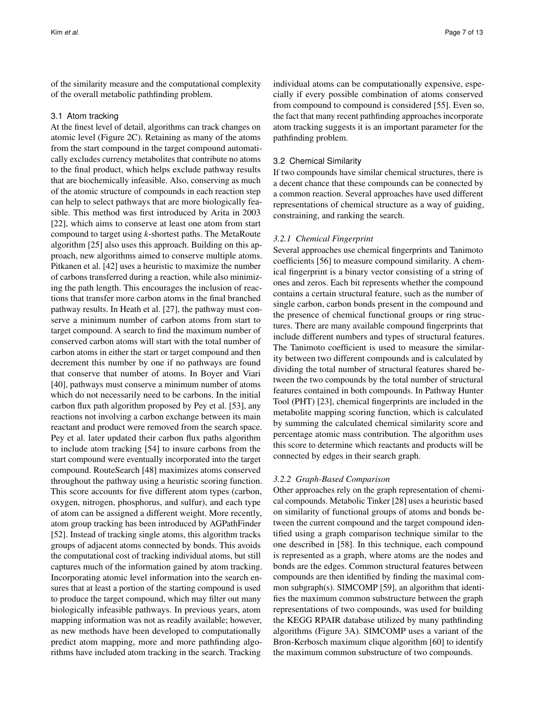of the similarity measure and the computational complexity of the overall metabolic pathfinding problem.

## 3.1 Atom tracking

At the finest level of detail, algorithms can track changes on atomic level (Figure 2C). Retaining as many of the atoms from the start compound in the target compound automatically excludes currency metabolites that contribute no atoms to the final product, which helps exclude pathway results that are biochemically infeasible. Also, conserving as much of the atomic structure of compounds in each reaction step can help to select pathways that are more biologically feasible. This method was first introduced by Arita in 2003 [22], which aims to conserve at least one atom from start compound to target using *k*-shortest paths. The MetaRoute algorithm [25] also uses this approach. Building on this approach, new algorithms aimed to conserve multiple atoms. Pitkanen et al. [42] uses a heuristic to maximize the number of carbons transferred during a reaction, while also minimizing the path length. This encourages the inclusion of reactions that transfer more carbon atoms in the final branched pathway results. In Heath et al. [27], the pathway must conserve a minimum number of carbon atoms from start to target compound. A search to find the maximum number of conserved carbon atoms will start with the total number of carbon atoms in either the start or target compound and then decrement this number by one if no pathways are found that conserve that number of atoms. In Boyer and Viari [40], pathways must conserve a minimum number of atoms which do not necessarily need to be carbons. In the initial carbon flux path algorithm proposed by Pey et al. [53], any reactions not involving a carbon exchange between its main reactant and product were removed from the search space. Pey et al. later updated their carbon flux paths algorithm to include atom tracking [54] to insure carbons from the start compound were eventually incorporated into the target compound. RouteSearch [48] maximizes atoms conserved throughout the pathway using a heuristic scoring function. This score accounts for five different atom types (carbon, oxygen, nitrogen, phosphorus, and sulfur), and each type of atom can be assigned a different weight. More recently, atom group tracking has been introduced by AGPathFinder [52]. Instead of tracking single atoms, this algorithm tracks groups of adjacent atoms connected by bonds. This avoids the computational cost of tracking individual atoms, but still captures much of the information gained by atom tracking. Incorporating atomic level information into the search ensures that at least a portion of the starting compound is used to produce the target compound, which may filter out many biologically infeasible pathways. In previous years, atom mapping information was not as readily available; however, as new methods have been developed to computationally predict atom mapping, more and more pathfinding algorithms have included atom tracking in the search. Tracking

individual atoms can be computationally expensive, especially if every possible combination of atoms conserved from compound to compound is considered [55]. Even so, the fact that many recent pathfinding approaches incorporate atom tracking suggests it is an important parameter for the pathfinding problem.

#### 3.2 Chemical Similarity

If two compounds have similar chemical structures, there is a decent chance that these compounds can be connected by a common reaction. Several approaches have used different representations of chemical structure as a way of guiding, constraining, and ranking the search.

#### *3.2.1 Chemical Fingerprint*

Several approaches use chemical fingerprints and Tanimoto coefficients [56] to measure compound similarity. A chemical fingerprint is a binary vector consisting of a string of ones and zeros. Each bit represents whether the compound contains a certain structural feature, such as the number of single carbon, carbon bonds present in the compound and the presence of chemical functional groups or ring structures. There are many available compound fingerprints that include different numbers and types of structural features. The Tanimoto coefficient is used to measure the similarity between two different compounds and is calculated by dividing the total number of structural features shared between the two compounds by the total number of structural features contained in both compounds. In Pathway Hunter Tool (PHT) [23], chemical fingerprints are included in the metabolite mapping scoring function, which is calculated by summing the calculated chemical similarity score and percentage atomic mass contribution. The algorithm uses this score to determine which reactants and products will be connected by edges in their search graph.

#### *3.2.2 Graph-Based Comparison*

Other approaches rely on the graph representation of chemical compounds. Metabolic Tinker [28] uses a heuristic based on similarity of functional groups of atoms and bonds between the current compound and the target compound identified using a graph comparison technique similar to the one described in [58]. In this technique, each compound is represented as a graph, where atoms are the nodes and bonds are the edges. Common structural features between compounds are then identified by finding the maximal common subgraph(s). SIMCOMP [59], an algorithm that identifies the maximum common substructure between the graph representations of two compounds, was used for building the KEGG RPAIR database utilized by many pathfinding algorithms (Figure 3A). SIMCOMP uses a variant of the Bron-Kerbosch maximum clique algorithm [60] to identify the maximum common substructure of two compounds.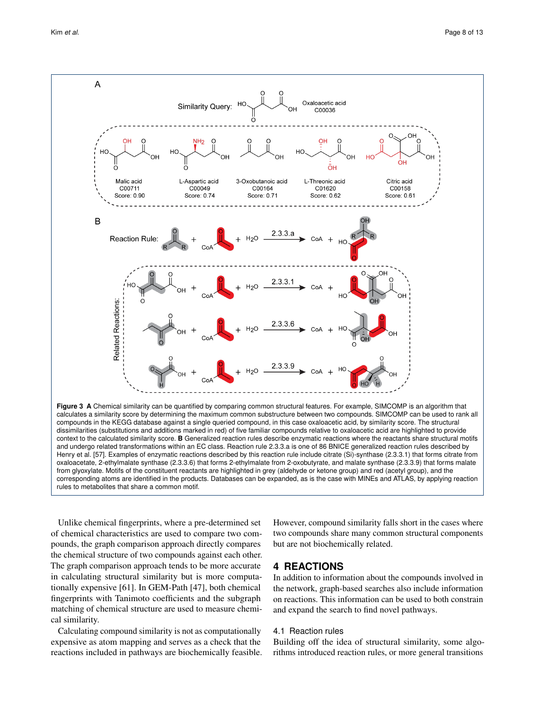

Unlike chemical fingerprints, where a pre-determined set of chemical characteristics are used to compare two compounds, the graph comparison approach directly compares the chemical structure of two compounds against each other. The graph comparison approach tends to be more accurate in calculating structural similarity but is more computationally expensive [61]. In GEM-Path [47], both chemical fingerprints with Tanimoto coefficients and the subgraph matching of chemical structure are used to measure chemical similarity.

Calculating compound similarity is not as computationally expensive as atom mapping and serves as a check that the reactions included in pathways are biochemically feasible. However, compound similarity falls short in the cases where two compounds share many common structural components but are not biochemically related.

## **4 REACTIONS**

In addition to information about the compounds involved in the network, graph-based searches also include information on reactions. This information can be used to both constrain and expand the search to find novel pathways.

#### 4.1 Reaction rules

Building off the idea of structural similarity, some algorithms introduced reaction rules, or more general transitions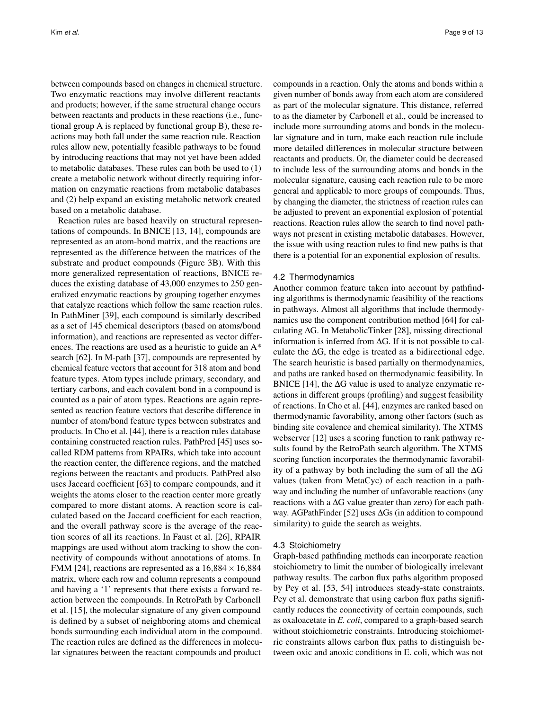between compounds based on changes in chemical structure. Two enzymatic reactions may involve different reactants and products; however, if the same structural change occurs between reactants and products in these reactions (i.e., functional group A is replaced by functional group B), these reactions may both fall under the same reaction rule. Reaction rules allow new, potentially feasible pathways to be found by introducing reactions that may not yet have been added to metabolic databases. These rules can both be used to (1) create a metabolic network without directly requiring information on enzymatic reactions from metabolic databases and (2) help expand an existing metabolic network created based on a metabolic database.

Reaction rules are based heavily on structural representations of compounds. In BNICE [13, 14], compounds are represented as an atom-bond matrix, and the reactions are represented as the difference between the matrices of the substrate and product compounds (Figure 3B). With this more generalized representation of reactions, BNICE reduces the existing database of 43,000 enzymes to 250 generalized enzymatic reactions by grouping together enzymes that catalyze reactions which follow the same reaction rules. In PathMiner [39], each compound is similarly described as a set of 145 chemical descriptors (based on atoms/bond information), and reactions are represented as vector differences. The reactions are used as a heuristic to guide an A\* search [62]. In M-path [37], compounds are represented by chemical feature vectors that account for 318 atom and bond feature types. Atom types include primary, secondary, and tertiary carbons, and each covalent bond in a compound is counted as a pair of atom types. Reactions are again represented as reaction feature vectors that describe difference in number of atom/bond feature types between substrates and products. In Cho et al. [44], there is a reaction rules database containing constructed reaction rules. PathPred [45] uses socalled RDM patterns from RPAIRs, which take into account the reaction center, the difference regions, and the matched regions between the reactants and products. PathPred also uses Jaccard coefficient [63] to compare compounds, and it weights the atoms closer to the reaction center more greatly compared to more distant atoms. A reaction score is calculated based on the Jaccard coefficient for each reaction, and the overall pathway score is the average of the reaction scores of all its reactions. In Faust et al. [26], RPAIR mappings are used without atom tracking to show the connectivity of compounds without annotations of atoms. In FMM [24], reactions are represented as a  $16,884 \times 16,884$ matrix, where each row and column represents a compound and having a '1' represents that there exists a forward reaction between the compounds. In RetroPath by Carbonell et al. [15], the molecular signature of any given compound is defined by a subset of neighboring atoms and chemical bonds surrounding each individual atom in the compound. The reaction rules are defined as the differences in molecular signatures between the reactant compounds and product

compounds in a reaction. Only the atoms and bonds within a given number of bonds away from each atom are considered as part of the molecular signature. This distance, referred to as the diameter by Carbonell et al., could be increased to include more surrounding atoms and bonds in the molecular signature and in turn, make each reaction rule include more detailed differences in molecular structure between reactants and products. Or, the diameter could be decreased to include less of the surrounding atoms and bonds in the molecular signature, causing each reaction rule to be more general and applicable to more groups of compounds. Thus, by changing the diameter, the strictness of reaction rules can be adjusted to prevent an exponential explosion of potential reactions. Reaction rules allow the search to find novel pathways not present in existing metabolic databases. However, the issue with using reaction rules to find new paths is that there is a potential for an exponential explosion of results.

#### 4.2 Thermodynamics

Another common feature taken into account by pathfinding algorithms is thermodynamic feasibility of the reactions in pathways. Almost all algorithms that include thermodynamics use the component contribution method [64] for calculating ∆G. In MetabolicTinker [28], missing directional information is inferred from ∆G. If it is not possible to calculate the ∆G, the edge is treated as a bidirectional edge. The search heuristic is based partially on thermodynamics, and paths are ranked based on thermodynamic feasibility. In BNICE [14], the  $\Delta G$  value is used to analyze enzymatic reactions in different groups (profiling) and suggest feasibility of reactions. In Cho et al. [44], enzymes are ranked based on thermodynamic favorability, among other factors (such as binding site covalence and chemical similarity). The XTMS webserver [12] uses a scoring function to rank pathway results found by the RetroPath search algorithm. The XTMS scoring function incorporates the thermodynamic favorability of a pathway by both including the sum of all the ∆G values (taken from MetaCyc) of each reaction in a pathway and including the number of unfavorable reactions (any reactions with a ∆G value greater than zero) for each pathway. AGPathFinder [52] uses ∆Gs (in addition to compound similarity) to guide the search as weights.

#### 4.3 Stoichiometry

Graph-based pathfinding methods can incorporate reaction stoichiometry to limit the number of biologically irrelevant pathway results. The carbon flux paths algorithm proposed by Pey et al. [53, 54] introduces steady-state constraints. Pey et al. demonstrate that using carbon flux paths significantly reduces the connectivity of certain compounds, such as oxaloacetate in *E. coli*, compared to a graph-based search without stoichiometric constraints. Introducing stoichiometric constraints allows carbon flux paths to distinguish between oxic and anoxic conditions in E. coli, which was not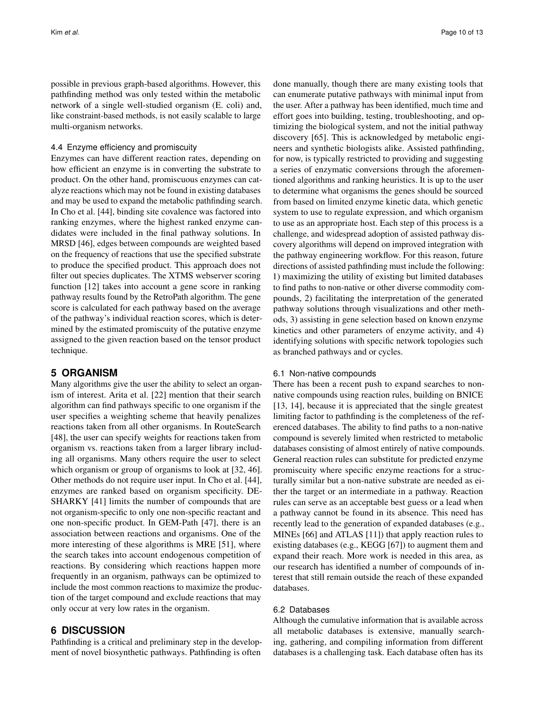possible in previous graph-based algorithms. However, this pathfinding method was only tested within the metabolic network of a single well-studied organism (E. coli) and, like constraint-based methods, is not easily scalable to large multi-organism networks.

### 4.4 Enzyme efficiency and promiscuity

Enzymes can have different reaction rates, depending on how efficient an enzyme is in converting the substrate to product. On the other hand, promiscuous enzymes can catalyze reactions which may not be found in existing databases and may be used to expand the metabolic pathfinding search. In Cho et al. [44], binding site covalence was factored into ranking enzymes, where the highest ranked enzyme candidates were included in the final pathway solutions. In MRSD [46], edges between compounds are weighted based on the frequency of reactions that use the specified substrate to produce the specified product. This approach does not filter out species duplicates. The XTMS webserver scoring function [12] takes into account a gene score in ranking pathway results found by the RetroPath algorithm. The gene score is calculated for each pathway based on the average of the pathway's individual reaction scores, which is determined by the estimated promiscuity of the putative enzyme assigned to the given reaction based on the tensor product technique.

## **5 ORGANISM**

Many algorithms give the user the ability to select an organism of interest. Arita et al. [22] mention that their search algorithm can find pathways specific to one organism if the user specifies a weighting scheme that heavily penalizes reactions taken from all other organisms. In RouteSearch [48], the user can specify weights for reactions taken from organism vs. reactions taken from a larger library including all organisms. Many others require the user to select which organism or group of organisms to look at [32, 46]. Other methods do not require user input. In Cho et al. [44], enzymes are ranked based on organism specificity. DE-SHARKY [41] limits the number of compounds that are not organism-specific to only one non-specific reactant and one non-specific product. In GEM-Path [47], there is an association between reactions and organisms. One of the more interesting of these algorithms is MRE [51], where the search takes into account endogenous competition of reactions. By considering which reactions happen more frequently in an organism, pathways can be optimized to include the most common reactions to maximize the production of the target compound and exclude reactions that may only occur at very low rates in the organism.

## **6 DISCUSSION**

Pathfinding is a critical and preliminary step in the development of novel biosynthetic pathways. Pathfinding is often

done manually, though there are many existing tools that can enumerate putative pathways with minimal input from the user. After a pathway has been identified, much time and effort goes into building, testing, troubleshooting, and optimizing the biological system, and not the initial pathway discovery [65]. This is acknowledged by metabolic engineers and synthetic biologists alike. Assisted pathfinding, for now, is typically restricted to providing and suggesting a series of enzymatic conversions through the aforementioned algorithms and ranking heuristics. It is up to the user to determine what organisms the genes should be sourced from based on limited enzyme kinetic data, which genetic system to use to regulate expression, and which organism to use as an appropriate host. Each step of this process is a challenge, and widespread adoption of assisted pathway discovery algorithms will depend on improved integration with the pathway engineering workflow. For this reason, future directions of assisted pathfinding must include the following: 1) maximizing the utility of existing but limited databases to find paths to non-native or other diverse commodity compounds, 2) facilitating the interpretation of the generated pathway solutions through visualizations and other methods, 3) assisting in gene selection based on known enzyme kinetics and other parameters of enzyme activity, and 4) identifying solutions with specific network topologies such as branched pathways and or cycles.

#### 6.1 Non-native compounds

There has been a recent push to expand searches to nonnative compounds using reaction rules, building on BNICE [13, 14], because it is appreciated that the single greatest limiting factor to pathfinding is the completeness of the referenced databases. The ability to find paths to a non-native compound is severely limited when restricted to metabolic databases consisting of almost entirely of native compounds. General reaction rules can substitute for predicted enzyme promiscuity where specific enzyme reactions for a structurally similar but a non-native substrate are needed as either the target or an intermediate in a pathway. Reaction rules can serve as an acceptable best guess or a lead when a pathway cannot be found in its absence. This need has recently lead to the generation of expanded databases (e.g., MINEs [66] and ATLAS [11]) that apply reaction rules to existing databases (e.g., KEGG [67]) to augment them and expand their reach. More work is needed in this area, as our research has identified a number of compounds of interest that still remain outside the reach of these expanded databases.

#### 6.2 Databases

Although the cumulative information that is available across all metabolic databases is extensive, manually searching, gathering, and compiling information from different databases is a challenging task. Each database often has its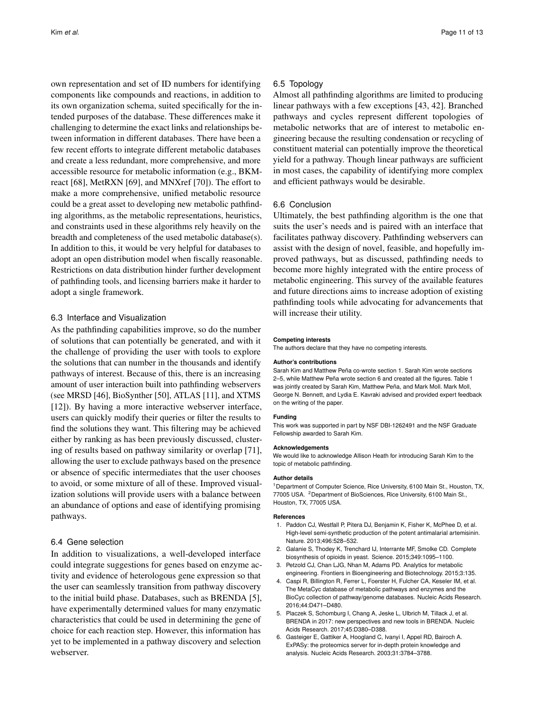own representation and set of ID numbers for identifying components like compounds and reactions, in addition to its own organization schema, suited specifically for the intended purposes of the database. These differences make it challenging to determine the exact links and relationships between information in different databases. There have been a few recent efforts to integrate different metabolic databases and create a less redundant, more comprehensive, and more accessible resource for metabolic information (e.g., BKMreact [68], MetRXN [69], and MNXref [70]). The effort to make a more comprehensive, unified metabolic resource could be a great asset to developing new metabolic pathfinding algorithms, as the metabolic representations, heuristics, and constraints used in these algorithms rely heavily on the breadth and completeness of the used metabolic database(s). In addition to this, it would be very helpful for databases to adopt an open distribution model when fiscally reasonable. Restrictions on data distribution hinder further development of pathfinding tools, and licensing barriers make it harder to adopt a single framework.

#### 6.3 Interface and Visualization

As the pathfinding capabilities improve, so do the number of solutions that can potentially be generated, and with it the challenge of providing the user with tools to explore the solutions that can number in the thousands and identify pathways of interest. Because of this, there is an increasing amount of user interaction built into pathfinding webservers (see MRSD [46], BioSynther [50], ATLAS [11], and XTMS [12]). By having a more interactive webserver interface, users can quickly modify their queries or filter the results to find the solutions they want. This filtering may be achieved either by ranking as has been previously discussed, clustering of results based on pathway similarity or overlap [71], allowing the user to exclude pathways based on the presence or absence of specific intermediates that the user chooses to avoid, or some mixture of all of these. Improved visualization solutions will provide users with a balance between an abundance of options and ease of identifying promising pathways.

### 6.4 Gene selection

In addition to visualizations, a well-developed interface could integrate suggestions for genes based on enzyme activity and evidence of heterologous gene expression so that the user can seamlessly transition from pathway discovery to the initial build phase. Databases, such as BRENDA [5], have experimentally determined values for many enzymatic characteristics that could be used in determining the gene of choice for each reaction step. However, this information has yet to be implemented in a pathway discovery and selection webserver.

#### 6.5 Topology

Almost all pathfinding algorithms are limited to producing linear pathways with a few exceptions [43, 42]. Branched pathways and cycles represent different topologies of metabolic networks that are of interest to metabolic engineering because the resulting condensation or recycling of constituent material can potentially improve the theoretical yield for a pathway. Though linear pathways are sufficient in most cases, the capability of identifying more complex and efficient pathways would be desirable.

#### 6.6 Conclusion

Ultimately, the best pathfinding algorithm is the one that suits the user's needs and is paired with an interface that facilitates pathway discovery. Pathfinding webservers can assist with the design of novel, feasible, and hopefully improved pathways, but as discussed, pathfinding needs to become more highly integrated with the entire process of metabolic engineering. This survey of the available features and future directions aims to increase adoption of existing pathfinding tools while advocating for advancements that will increase their utility.

#### **Competing interests**

The authors declare that they have no competing interests.

#### **Author's contributions**

Sarah Kim and Matthew Peña co-wrote section 1. Sarah Kim wrote sections 2-5, while Matthew Peña wrote section 6 and created all the figures. Table 1 was jointly created by Sarah Kim, Matthew Peña, and Mark Moll. Mark Moll. George N. Bennett, and Lydia E. Kavraki advised and provided expert feedback on the writing of the paper.

#### **Funding**

This work was supported in part by NSF DBI-1262491 and the NSF Graduate Fellowship awarded to Sarah Kim.

#### **Acknowledgements**

We would like to acknowledge Allison Heath for introducing Sarah Kim to the topic of metabolic pathfinding.

#### **Author details**

<sup>1</sup> Department of Computer Science, Rice University, 6100 Main St., Houston, TX, 77005 USA. <sup>2</sup>Department of BioSciences, Rice University, 6100 Main St., Houston, TX, 77005 USA.

#### **References**

- 1. Paddon CJ, Westfall P, Pitera DJ, Benjamin K, Fisher K, McPhee D, et al. High-level semi-synthetic production of the potent antimalarial artemisinin. Nature. 2013;496:528–532.
- 2. Galanie S, Thodey K, Trenchard IJ, Interrante MF, Smolke CD. Complete biosynthesis of opioids in yeast. Science. 2015;349:1095–1100.
- 3. Petzold CJ, Chan LJG, Nhan M, Adams PD. Analytics for metabolic engineering. Frontiers in Bioengineering and Biotechnology. 2015;3:135.
- 4. Caspi R, Billington R, Ferrer L, Foerster H, Fulcher CA, Keseler IM, et al. The MetaCyc database of metabolic pathways and enzymes and the BioCyc collection of pathway/genome databases. Nucleic Acids Research. 2016;44:D471–D480.
- 5. Placzek S, Schomburg I, Chang A, Jeske L, Ulbrich M, Tillack J, et al. BRENDA in 2017: new perspectives and new tools in BRENDA. Nucleic Acids Research. 2017;45:D380–D388.
- 6. Gasteiger E, Gattiker A, Hoogland C, Ivanyi I, Appel RD, Bairoch A. ExPASy: the proteomics server for in-depth protein knowledge and analysis. Nucleic Acids Research. 2003;31:3784–3788.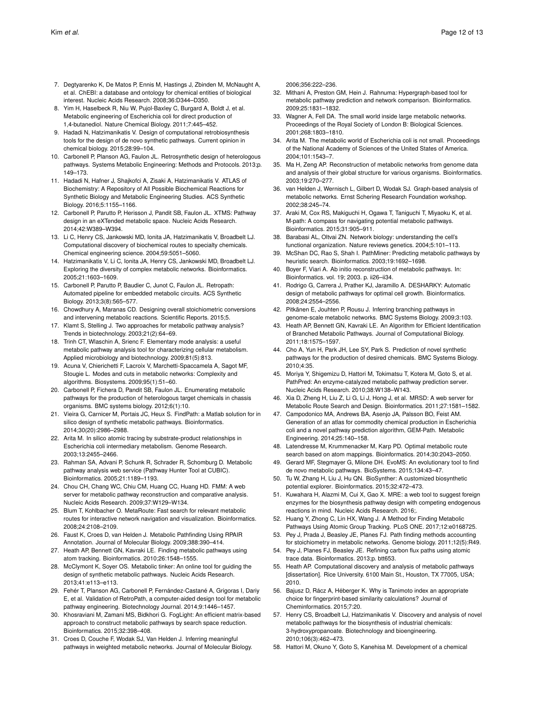- 7. Degtyarenko K, De Matos P, Ennis M, Hastings J, Zbinden M, McNaught A, et al. ChEBI: a database and ontology for chemical entities of biological interest. Nucleic Acids Research. 2008;36:D344–D350.
- 8. Yim H, Haselbeck R, Niu W, Pujol-Baxley C, Burgard A, Boldt J, et al. Metabolic engineering of Escherichia coli for direct production of 1,4-butanediol. Nature Chemical Biology. 2011;7:445–452.
- 9. Hadadi N, Hatzimanikatis V. Design of computational retrobiosynthesis tools for the design of de novo synthetic pathways. Current opinion in chemical biology. 2015;28:99–104.
- 10. Carbonell P, Planson AG, Faulon JL. Retrosynthetic design of heterologous pathways. Systems Metabolic Engineering: Methods and Protocols. 2013;p. 149–173.
- 11. Hadadi N, Hafner J, Shajkofci A, Zisaki A, Hatzimanikatis V. ATLAS of Biochemistry: A Repository of All Possible Biochemical Reactions for Synthetic Biology and Metabolic Engineering Studies. ACS Synthetic Biology. 2016;5:1155–1166.
- 12. Carbonell P, Parutto P, Herisson J, Pandit SB, Faulon JL. XTMS: Pathway design in an eXTended metabolic space. Nucleic Acids Research. 2014;42:W389–W394.
- 13. Li C, Henry CS, Jankowski MD, Ionita JA, Hatzimanikatis V, Broadbelt LJ. Computational discovery of biochemical routes to specialty chemicals. Chemical engineering science. 2004;59:5051–5060.
- 14. Hatzimanikatis V, Li C, Ionita JA, Henry CS, Jankowski MD, Broadbelt LJ. Exploring the diversity of complex metabolic networks. Bioinformatics. 2005;21:1603–1609.
- 15. Carbonell P, Parutto P, Baudier C, Junot C, Faulon JL. Retropath: Automated pipeline for embedded metabolic circuits. ACS Synthetic Biology. 2013;3(8):565–577.
- 16. Chowdhury A, Maranas CD. Designing overall stoichiometric conversions and intervening metabolic reactions. Scientific Reports. 2015;5.
- 17. Klamt S, Stelling J. Two approaches for metabolic pathway analysis? Trends in biotechnology. 2003;21(2):64–69.
- 18. Trinh CT, Wlaschin A, Srienc F. Elementary mode analysis: a useful metabolic pathway analysis tool for characterizing cellular metabolism. Applied microbiology and biotechnology. 2009;81(5):813.
- 19. Acuna V, Chierichetti F, Lacroix V, Marchetti-Spaccamela A, Sagot MF, Stougie L. Modes and cuts in metabolic networks: Complexity and algorithms. Biosystems. 2009;95(1):51–60.
- 20. Carbonell P, Fichera D, Pandit SB, Faulon JL. Enumerating metabolic pathways for the production of heterologous target chemicals in chassis organisms. BMC systems biology. 2012;6(1):10.
- 21. Vieira G, Carnicer M, Portais JC, Heux S. FindPath: a Matlab solution for in silico design of synthetic metabolic pathways. Bioinformatics. 2014;30(20):2986–2988.
- 22. Arita M. In silico atomic tracing by substrate-product relationships in Escherichia coli intermediary metabolism. Genome Research. 2003;13:2455–2466.
- 23. Rahman SA, Advani P, Schunk R, Schrader R, Schomburg D. Metabolic pathway analysis web service (Pathway Hunter Tool at CUBIC). Bioinformatics. 2005;21:1189–1193.
- 24. Chou CH, Chang WC, Chiu CM, Huang CC, Huang HD. FMM: A web server for metabolic pathway reconstruction and comparative analysis. Nucleic Acids Research. 2009;37:W129–W134.
- 25. Blum T, Kohlbacher O. MetaRoute: Fast search for relevant metabolic routes for interactive network navigation and visualization. Bioinformatics. 2008;24:2108–2109.
- 26. Faust K, Croes D, van Helden J. Metabolic Pathfinding Using RPAIR Annotation. Journal of Molecular Biology. 2009;388:390–414.
- 27. Heath AP, Bennett GN, Kavraki LE. Finding metabolic pathways using atom tracking. Bioinformatics. 2010;26:1548–1555.
- 28. McClymont K, Soyer OS. Metabolic tinker: An online tool for guiding the design of synthetic metabolic pathways. Nucleic Acids Research. 2013;41:e113–e113.
- 29. Fehér T, Planson AG, Carbonell P, Fernández-Castané A, Grigoras I, Dariy E, et al. Validation of RetroPath, a computer-aided design tool for metabolic pathway engineering. Biotechnology Journal. 2014;9:1446–1457.
- 30. Khosraviani M, Zamani MS, Bidkhori G. FogLight: An efficient matrix-based approach to construct metabolic pathways by search space reduction. Bioinformatics. 2015;32:398–408.
- 31. Croes D, Couche F, Wodak SJ, Van Helden J. Inferring meaningful pathways in weighted metabolic networks. Journal of Molecular Biology.

2006;356:222–236.

- 32. Mithani A, Preston GM, Hein J. Rahnuma: Hypergraph-based tool for metabolic pathway prediction and network comparison. Bioinformatics. 2009;25:1831–1832.
- 33. Wagner A, Fell DA. The small world inside large metabolic networks. Proceedings of the Royal Society of London B: Biological Sciences. 2001;268:1803–1810.
- 34. Arita M. The metabolic world of Escherichia coli is not small. Proceedings of the National Academy of Sciences of the United States of America. 2004;101:1543–7.
- 35. Ma H, Zeng AP. Reconstruction of metabolic networks from genome data and analysis of their global structure for various organisms. Bioinformatics. 2003;19:270–277.
- 36. van Helden J, Wernisch L, Gilbert D, Wodak SJ. Graph-based analysis of metabolic networks. Ernst Schering Research Foundation workshop. 2002;38:245–74.
- 37. Araki M, Cox RS, Makiguchi H, Ogawa T, Taniguchi T, Miyaoku K, et al. M-path: A compass for navigating potential metabolic pathways. Bioinformatics. 2015;31:905–911.
- 38. Barabasi AL, Oltvai ZN. Network biology: understanding the cell's functional organization. Nature reviews genetics. 2004;5:101–113.
- 39. McShan DC, Rao S, Shah I. PathMiner: Predicting metabolic pathways by heuristic search. Bioinformatics. 2003;19:1692–1698.
- 40. Boyer F, Viari A. Ab initio reconstruction of metabolic pathways. In: Bioinformatics. vol. 19; 2003. p. ii26–ii34.
- 41. Rodrigo G, Carrera J, Prather KJ, Jaramillo A. DESHARKY: Automatic design of metabolic pathways for optimal cell growth. Bioinformatics. 2008;24:2554–2556.
- 42. Pitkänen E, Jouhten P, Rousu J. Inferring branching pathways in genome-scale metabolic networks. BMC Systems Biology. 2009;3:103.
- 43. Heath AP, Bennett GN, Kavraki LE. An Algorithm for Efficient Identification of Branched Metabolic Pathways. Journal of Computational Biology. 2011;18:1575–1597.
- 44. Cho A, Yun H, Park JH, Lee SY, Park S. Prediction of novel synthetic pathways for the production of desired chemicals. BMC Systems Biology. 2010;4:35.
- 45. Moriya Y, Shigemizu D, Hattori M, Tokimatsu T, Kotera M, Goto S, et al. PathPred: An enzyme-catalyzed metabolic pathway prediction server. Nucleic Acids Research. 2010;38:W138–W143.
- 46. Xia D, Zheng H, Liu Z, Li G, Li J, Hong J, et al. MRSD: A web server for Metabolic Route Search and Design. Bioinformatics. 2011;27:1581–1582.
- 47. Campodonico MA, Andrews BA, Asenjo JA, Palsson BO, Feist AM. Generation of an atlas for commodity chemical production in Escherichia coli and a novel pathway prediction algorithm, GEM-Path. Metabolic Engineering. 2014;25:140–158.
- 48. Latendresse M, Krummenacker M, Karp PD. Optimal metabolic route search based on atom mappings. Bioinformatics. 2014;30:2043–2050.
- 49. Gerard MF, Stegmayer G, Milone DH. EvoMS: An evolutionary tool to find de novo metabolic pathways. BioSystems. 2015;134:43–47.
- 50. Tu W, Zhang H, Liu J, Hu QN. BioSynther: A customized biosynthetic potential explorer. Bioinformatics. 2015;32:472–473.
- 51. Kuwahara H, Alazmi M, Cui X, Gao X. MRE: a web tool to suggest foreign enzymes for the biosynthesis pathway design with competing endogenous reactions in mind. Nucleic Acids Research. 2016;.
- 52. Huang Y, Zhong C, Lin HX, Wang J. A Method for Finding Metabolic Pathways Using Atomic Group Tracking. PLoS ONE. 2017;12:e0168725.
- 53. Pey J, Prada J, Beasley JE, Planes FJ. Path finding methods accounting for stoichiometry in metabolic networks. Genome biology. 2011;12(5):R49.
- 54. Pey J, Planes FJ, Beasley JE. Refining carbon flux paths using atomic trace data. Bioinformatics. 2013;p. btt653.
- 55. Heath AP. Computational discovery and analysis of metabolic pathways [dissertation]. Rice University. 6100 Main St., Houston, TX 77005, USA; 2010.
- 56. Bajusz D, Rácz A, Héberger K. Why is Tanimoto index an appropriate choice for fingerprint-based similarity calculations? Journal of Cheminformatics. 2015;7:20.
- 57. Henry CS, Broadbelt LJ, Hatzimanikatis V. Discovery and analysis of novel metabolic pathways for the biosynthesis of industrial chemicals: 3-hydroxypropanoate. Biotechnology and bioengineering. 2010;106(3):462–473.
- 58. Hattori M, Okuno Y, Goto S, Kanehisa M. Development of a chemical